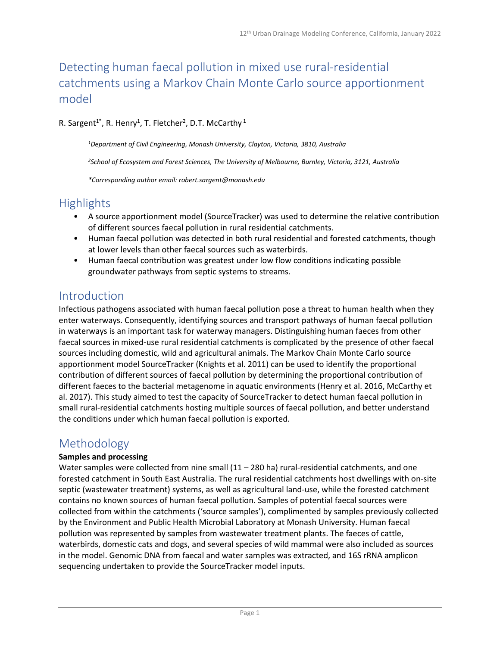# Detecting human faecal pollution in mixed use rural-residential catchments using a Markov Chain Monte Carlo source apportionment model

#### R. Sargent<sup>1\*</sup>, R. Henry<sup>1</sup>, T. Fletcher<sup>2</sup>, D.T. McCarthy <sup>1</sup>

*<sup>1</sup>Department of Civil Engineering, Monash University, Clayton, Victoria, 3810, Australia*

*<sup>2</sup>School of Ecosystem and Forest Sciences, The University of Melbourne, Burnley, Victoria, 3121, Australia*

*\*Corresponding author email: robert.sargent@monash.edu*

## **Highlights**

- A source apportionment model (SourceTracker) was used to determine the relative contribution of different sources faecal pollution in rural residential catchments.
- Human faecal pollution was detected in both rural residential and forested catchments, though at lower levels than other faecal sources such as waterbirds.
- Human faecal contribution was greatest under low flow conditions indicating possible groundwater pathways from septic systems to streams.

### Introduction

Infectious pathogens associated with human faecal pollution pose a threat to human health when they enter waterways. Consequently, identifying sources and transport pathways of human faecal pollution in waterways is an important task for waterway managers. Distinguishing human faeces from other faecal sources in mixed-use rural residential catchments is complicated by the presence of other faecal sources including domestic, wild and agricultural animals. The Markov Chain Monte Carlo source apportionment model SourceTracker (Knights et al. 2011) can be used to identify the proportional contribution of different sources of faecal pollution by determining the proportional contribution of different faeces to the bacterial metagenome in aquatic environments (Henry et al. 2016, McCarthy et al. 2017). This study aimed to test the capacity of SourceTracker to detect human faecal pollution in small rural-residential catchments hosting multiple sources of faecal pollution, and better understand the conditions under which human faecal pollution is exported.

## Methodology

#### **Samples and processing**

Water samples were collected from nine small  $(11 - 280$  ha) rural-residential catchments, and one forested catchment in South East Australia. The rural residential catchments host dwellings with on-site septic (wastewater treatment) systems, as well as agricultural land-use, while the forested catchment contains no known sources of human faecal pollution. Samples of potential faecal sources were collected from within the catchments ('source samples'), complimented by samples previously collected by the Environment and Public Health Microbial Laboratory at Monash University. Human faecal pollution was represented by samples from wastewater treatment plants. The faeces of cattle, waterbirds, domestic cats and dogs, and several species of wild mammal were also included as sources in the model. Genomic DNA from faecal and water samples was extracted, and 16S rRNA amplicon sequencing undertaken to provide the SourceTracker model inputs.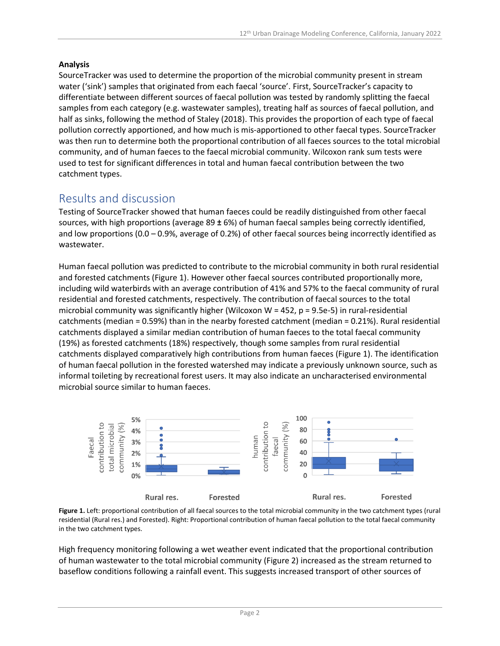#### **Analysis**

SourceTracker was used to determine the proportion of the microbial community present in stream water ('sink') samples that originated from each faecal 'source'. First, SourceTracker's capacity to differentiate between different sources of faecal pollution was tested by randomly splitting the faecal samples from each category (e.g. wastewater samples), treating half as sources of faecal pollution, and half as sinks, following the method of Staley (2018). This provides the proportion of each type of faecal pollution correctly apportioned, and how much is mis-apportioned to other faecal types. SourceTracker was then run to determine both the proportional contribution of all faeces sources to the total microbial community, and of human faeces to the faecal microbial community. Wilcoxon rank sum tests were used to test for significant differences in total and human faecal contribution between the two catchment types.

## Results and discussion

Testing of SourceTracker showed that human faeces could be readily distinguished from other faecal sources, with high proportions (average 89 **±** 6%) of human faecal samples being correctly identified, and low proportions (0.0 – 0.9%, average of 0.2%) of other faecal sources being incorrectly identified as wastewater.

Human faecal pollution was predicted to contribute to the microbial community in both rural residential and forested catchments (Figure 1). However other faecal sources contributed proportionally more, including wild waterbirds with an average contribution of 41% and 57% to the faecal community of rural residential and forested catchments, respectively. The contribution of faecal sources to the total microbial community was significantly higher (Wilcoxon W = 452,  $p = 9.5e-5$ ) in rural-residential catchments (median = 0.59%) than in the nearby forested catchment (median = 0.21%). Rural residential catchments displayed a similar median contribution of human faeces to the total faecal community (19%) as forested catchments (18%) respectively, though some samples from rural residential catchments displayed comparatively high contributions from human faeces (Figure 1). The identification of human faecal pollution in the forested watershed may indicate a previously unknown source, such as informal toileting by recreational forest users. It may also indicate an uncharacterised environmental microbial source similar to human faeces.



**Figure 1.** Left: proportional contribution of all faecal sources to the total microbial community in the two catchment types (rural residential (Rural res.) and Forested). Right: Proportional contribution of human faecal pollution to the total faecal community in the two catchment types.

High frequency monitoring following a wet weather event indicated that the proportional contribution of human wastewater to the total microbial community (Figure 2) increased as the stream returned to baseflow conditions following a rainfall event. This suggests increased transport of other sources of